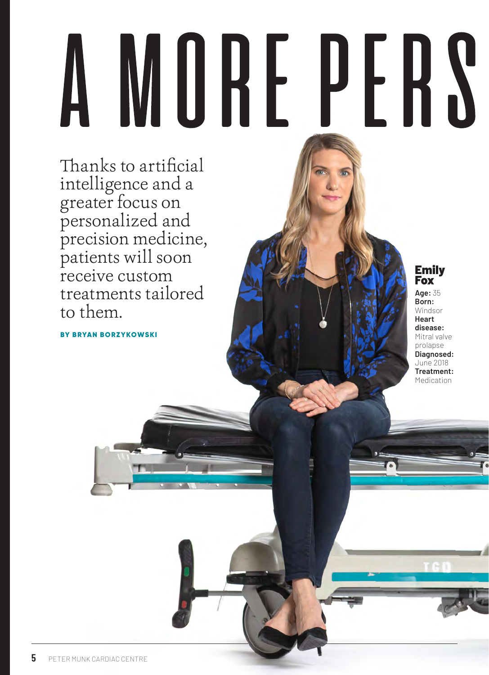## MURE PERS

Thanks to artificial intelligence and a greater focus on personalized and precision medicine, patients will soon receive custom treatments tailored to them.

BY BRYAN BORZYKOWSKI

Emily Fox

**Age:** 35 **Born:**  Windsor **Heart disease:** Mitral valve prolapse **Diagnosed:** June 2018 **Treatment:** Medication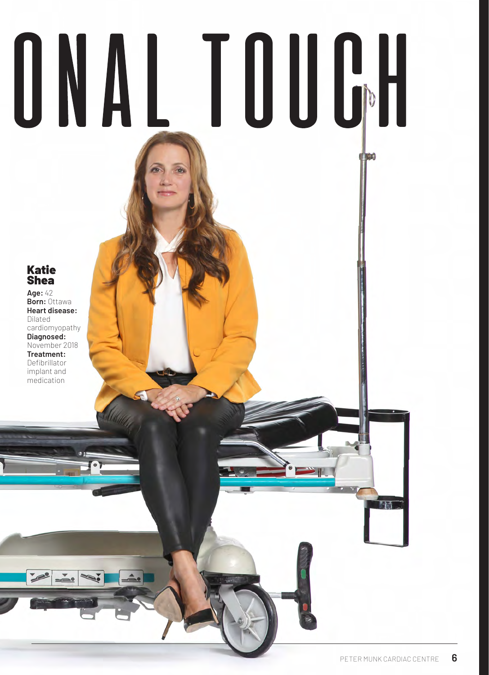# ONAL TOUGH

### Katie Shea

**Age:** 42 **Born:** Ottawa **Heart disease:** Dilated cardiomyopathy **Diagnosed:** November 2018 **Treatment:** Defibrillator implant and medication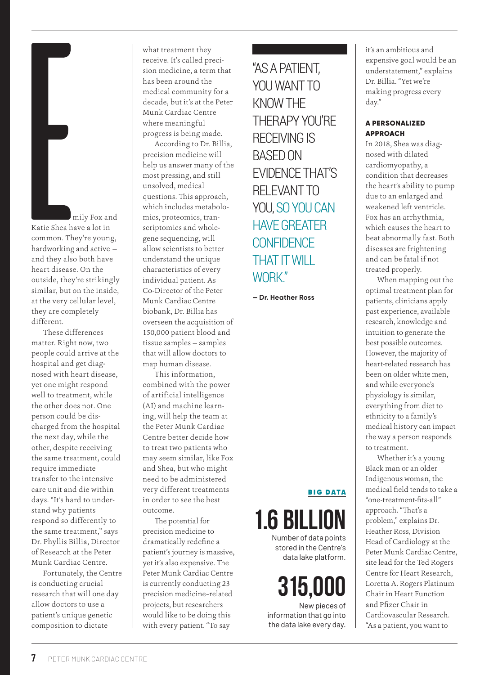mily Fox and Katie Shea have a lot in common. They're young, hardworking and active and they also both have heart disease. On the outside, they're strikingly similar, but on the inside, at the very cellular level, they are completely different.

These differences matter. Right now, two people could arrive at the hospital and get diagnosed with heart disease, yet one might respond well to treatment, while the other does not. One person could be discharged from the hospital the next day, while the other, despite receiving the same treatment, could require immediate transfer to the intensive care unit and die within days. "It's hard to understand why patients respond so differently to the same treatment," says Dr. Phyllis Billia, Director of Research at the Peter Munk Cardiac Centre.

Fortunately, the Centre is conducting crucial research that will one day allow doctors to use a patient's unique genetic composition to dictate

what treatment they receive. It's called precision medicine, a term that has been around the medical community for a decade, but it's at the Peter Munk Cardiac Centre where meaningful progress is being made.

According to Dr. Billia, precision medicine will help us answer many of the most pressing, and still unsolved, medical questions. This approach, which includes metabolomics, proteomics, transcriptomics and wholegene sequencing, will allow scientists to better understand the unique characteristics of every individual patient. As Co-Director of the Peter Munk Cardiac Centre biobank, Dr. Billia has overseen the acquisition of 150,000 patient blood and tissue samples — samples that will allow doctors to map human disease.

This information, combined with the power of artificial intelligence (AI) and machine learning, will help the team at the Peter Munk Cardiac Centre better decide how to treat two patients who may seem similar, like Fox and Shea, but who might need to be administered very different treatments in order to see the best outcome.

The potential for precision medicine to dramatically redefine a patient's journey is massive, yet it's also expensive. The Peter Munk Cardiac Centre is currently conducting 23 precision medicine–related projects, but researchers would like to be doing this with every patient. "To say

### "AS A PATIENT, YOU WANT TO KNOW THE THERAPY YOU'RE RECEIVING IS BASED ON EVIDENCE THAT'S RELEVANT TO YOU, SO YOU CAN HAVE GREATER **CONFIDENCE** THAT IT WILL WORK"

**— Dr. Heather Ross**

### BIG DATA



Number of data points stored in the Centre's data lake platform.

## 315,000

New pieces of information that go into the data lake every day.

it's an ambitious and expensive goal would be an understatement," explains Dr. Billia. "Yet we're making progress every day."

### A PERSONALIZED APPROACH

In 2018, Shea was diagnosed with dilated cardiomyopathy, a condition that decreases the heart's ability to pump due to an enlarged and weakened left ventricle. Fox has an arrhythmia, which causes the heart to beat abnormally fast. Both diseases are frightening and can be fatal if not treated properly.

When mapping out the optimal treatment plan for patients, clinicians apply past experience, available research, knowledge and intuition to generate the best possible outcomes. However, the majority of heart-related research has been on older white men, and while everyone's physiology is similar, everything from diet to ethnicity to a family's medical history can impact the way a person responds to treatment.

Whether it's a young Black man or an older Indigenous woman, the medical field tends to take a "one-treatment-fits-all" approach. "That's a problem," explains Dr. Heather Ross, Division Head of Cardiology at the Peter Munk Cardiac Centre, site lead for the Ted Rogers Centre for Heart Research, Loretta A. Rogers Platinum Chair in Heart Function and Pfizer Chair in Cardiovascular Research. "As a patient, you want to